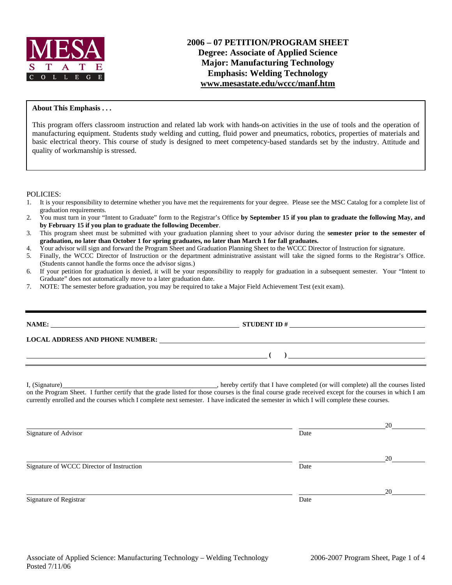

# **2006 – 07 PETITION/PROGRAM SHEET Degree: Associate of Applied Science Major: Manufacturing Technology Emphasis: Welding Technology www.mesastate.edu/wccc/manf.htm**

### **About This Emphasis . . .**

This program offers classroom instruction and related lab work with hands-on activities in the use of tools and the operation of manufacturing equipment. Students study welding and cutting, fluid power and pneumatics, robotics, properties of materials and basic electrical theory. This course of study is designed to meet competency-based standards set by the industry. Attitude and quality of workmanship is stressed.

POLICIES:

- 1. It is your responsibility to determine whether you have met the requirements for your degree. Please see the MSC Catalog for a complete list of graduation requirements.
- 2. You must turn in your "Intent to Graduate" form to the Registrar's Office **by September 15 if you plan to graduate the following May, and by February 15 if you plan to graduate the following December**.
- 3. This program sheet must be submitted with your graduation planning sheet to your advisor during the **semester prior to the semester of graduation, no later than October 1 for spring graduates, no later than March 1 for fall graduates.**
- 4. Your advisor will sign and forward the Program Sheet and Graduation Planning Sheet to the WCCC Director of Instruction for signature.
- 5. Finally, the WCCC Director of Instruction or the department administrative assistant will take the signed forms to the Registrar's Office. (Students cannot handle the forms once the advisor signs.)
- 6. If your petition for graduation is denied, it will be your responsibility to reapply for graduation in a subsequent semester. Your "Intent to Graduate" does not automatically move to a later graduation date.
- 7. NOTE: The semester before graduation, you may be required to take a Major Field Achievement Test (exit exam).

|                                           | LOCAL ADDRESS AND PHONE NUMBER: University of the contract of the contract of the contract of the contract of the contract of the contract of the contract of the contract of the contract of the contract of the contract of                                                                       |    |
|-------------------------------------------|-----------------------------------------------------------------------------------------------------------------------------------------------------------------------------------------------------------------------------------------------------------------------------------------------------|----|
|                                           |                                                                                                                                                                                                                                                                                                     |    |
|                                           | on the Program Sheet. I further certify that the grade listed for those courses is the final course grade received except for the courses in which I am<br>currently enrolled and the courses which I complete next semester. I have indicated the semester in which I will complete these courses. |    |
| Signature of Advisor                      | Date                                                                                                                                                                                                                                                                                                | 20 |
| Signature of WCCC Director of Instruction | Date                                                                                                                                                                                                                                                                                                | 20 |
| Signature of Registrar                    | Date                                                                                                                                                                                                                                                                                                | 20 |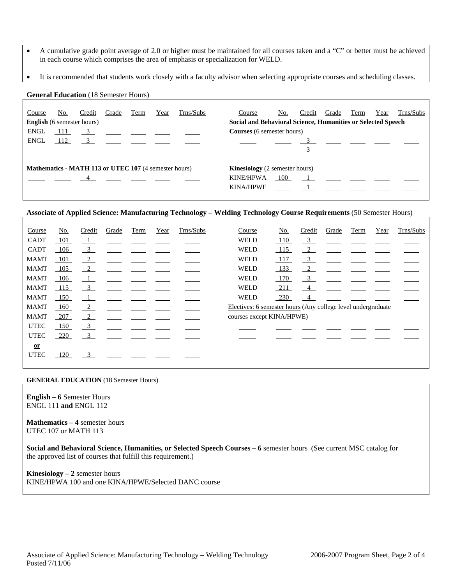- A cumulative grade point average of 2.0 or higher must be maintained for all courses taken and a "C" or better must be achieved in each course which comprises the area of emphasis or specialization for WELD.
- It is recommended that students work closely with a faculty advisor when selecting appropriate courses and scheduling classes.

### **General Education** (18 Semester Hours)

| Course<br><b>English</b> (6 semester hours)                  | No. | Credit | Grade          | Term | Year | Trns/Subs                                                                                                                                                                                     | Course<br>Social and Behavioral Science, Humanities or Selected Speech | No.   | Credit | Grade    | Term | Year | Trns/Subs |
|--------------------------------------------------------------|-----|--------|----------------|------|------|-----------------------------------------------------------------------------------------------------------------------------------------------------------------------------------------------|------------------------------------------------------------------------|-------|--------|----------|------|------|-----------|
| ENGL<br>ENGL                                                 | 112 |        |                |      |      | $\begin{array}{ccccccccccccc}\n111 & 3 & \ldots & \ldots & \ldots & \ldots\n\end{array}$<br>$\frac{3}{2}$ $\frac{1}{2}$ $\frac{1}{2}$ $\frac{1}{2}$ $\frac{1}{2}$ $\frac{1}{2}$ $\frac{1}{2}$ | <b>Courses</b> (6 semester hours)                                      |       |        | 3 $   -$ |      |      |           |
|                                                              |     |        |                |      |      |                                                                                                                                                                                               |                                                                        |       |        |          |      |      |           |
| <b>Mathematics - MATH 113 or UTEC 107</b> (4 semester hours) |     |        | $\overline{4}$ |      |      |                                                                                                                                                                                               | <b>Kinesiology</b> (2 semester hours)<br><b>KINE/HPWA</b><br>KINA/HPWE | - 100 |        |          |      |      |           |

## **Associate of Applied Science: Manufacturing Technology – Welding Technology Course Requirements** (50 Semester Hours)

| Course      | No. | Credit                  | Grade | Term | Year | Trns/Subs | Course                                                       | No.        | Credit         | Grade | Term | Year | Trns/Subs |
|-------------|-----|-------------------------|-------|------|------|-----------|--------------------------------------------------------------|------------|----------------|-------|------|------|-----------|
| <b>CADT</b> | 101 | $\frac{1}{\sqrt{2}}$    |       |      |      |           | <b>WELD</b>                                                  | <b>110</b> | $\frac{3}{2}$  |       |      |      |           |
| <b>CADT</b> | 106 | $\overline{\mathbf{3}}$ |       |      |      |           | <b>WELD</b>                                                  | 115        | $\sqrt{2}$     |       |      |      |           |
| <b>MAMT</b> | 101 | $\sqrt{2}$              |       |      |      |           | <b>WELD</b>                                                  | 117        | $\frac{3}{2}$  |       |      |      |           |
| <b>MAMT</b> | 105 | $\frac{2}{2}$           |       |      |      |           | <b>WELD</b>                                                  | 133        | $\frac{2}{2}$  |       |      |      |           |
| <b>MAMT</b> | 106 | $\perp$                 |       |      |      |           | WELD                                                         | <u>170</u> | $\frac{3}{2}$  |       |      |      |           |
| <b>MAMT</b> | 115 | $\overline{\mathbf{3}}$ |       |      |      |           | <b>WELD</b>                                                  | 211        | 4              |       |      |      |           |
| <b>MAMT</b> | 150 | $\overline{1}$          |       |      |      |           | <b>WELD</b>                                                  | 230        | $\overline{4}$ |       |      |      |           |
| <b>MAMT</b> | 160 | $\frac{2}{2}$           |       |      |      |           | Electives: 6 semester hours (Any college level undergraduate |            |                |       |      |      |           |
| <b>MAMT</b> | 207 | $\frac{2}{2}$           |       |      |      |           | courses except KINA/HPWE)                                    |            |                |       |      |      |           |
| <b>UTEC</b> | 150 | $\frac{3}{2}$           |       |      |      |           |                                                              |            |                |       |      |      |           |
| <b>UTEC</b> | 220 | $\overline{\mathbf{3}}$ |       |      |      |           |                                                              |            |                |       |      |      |           |
| $or$        |     |                         |       |      |      |           |                                                              |            |                |       |      |      |           |
| <b>UTEC</b> | 120 | $\frac{3}{2}$           |       |      |      |           |                                                              |            |                |       |      |      |           |

#### **GENERAL EDUCATION** (18 Semester Hours)

**English – 6** Semester Hours ENGL 111 **and** ENGL 112

**Mathematics – 4** semester hours UTEC 107 or MATH 113

**Social and Behavioral Science, Humanities, or Selected Speech Courses – 6** semester hours (See current MSC catalog for the approved list of courses that fulfill this requirement.)

**Kinesiology – 2** semester hours KINE/HPWA 100 and one KINA/HPWE/Selected DANC course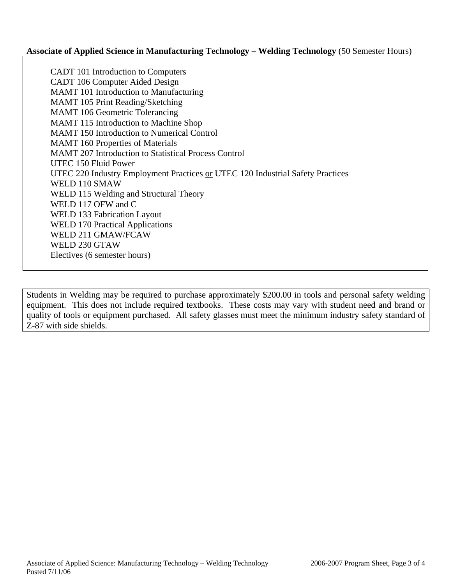## **Associate of Applied Science in Manufacturing Technology – Welding Technology** (50 Semester Hours)

 CADT 101 Introduction to Computers CADT 106 Computer Aided Design MAMT 101 Introduction to Manufacturing MAMT 105 Print Reading/Sketching MAMT 106 Geometric Tolerancing MAMT 115 Introduction to Machine Shop MAMT 150 Introduction to Numerical Control MAMT 160 Properties of Materials MAMT 207 Introduction to Statistical Process Control UTEC 150 Fluid Power UTEC 220 Industry Employment Practices or UTEC 120 Industrial Safety Practices WELD 110 SMAW WELD 115 Welding and Structural Theory WELD 117 OFW and C WELD 133 Fabrication Layout WELD 170 Practical Applications WELD 211 GMAW/FCAW WELD 230 GTAW Electives (6 semester hours)

Students in Welding may be required to purchase approximately \$200.00 in tools and personal safety welding equipment. This does not include required textbooks. These costs may vary with student need and brand or quality of tools or equipment purchased. All safety glasses must meet the minimum industry safety standard of Z-87 with side shields.